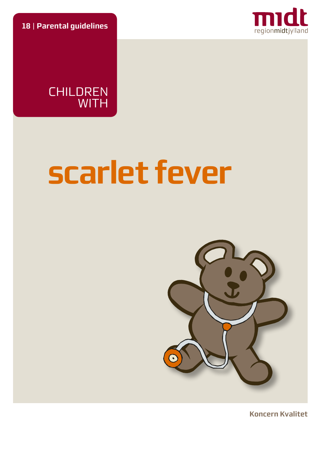**18** | **Parental guidelines**



CHILDREN WITH

# **scarlet fever**



**Koncern Kvalitet**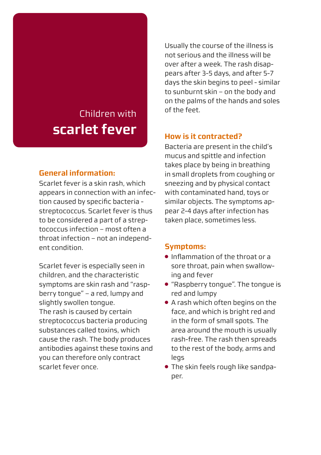# Children with **scarlet fever**

# **General information:**

Scarlet fever is a skin rash, which appears in connection with an infection caused by specific bacteria streptococcus. Scarlet fever is thus to be considered a part of a streptococcus infection – most often a throat infection – not an independent condition.

Scarlet fever is especially seen in children, and the characteristic symptoms are skin rash and "raspberry tongue" – a red, lumpy and slightly swollen tongue. The rash is caused by certain streptococcus bacteria producing substances called toxins, which cause the rash. The body produces antibodies against these toxins and you can therefore only contract scarlet fever once.

Usually the course of the illness is not serious and the illness will be over after a week. The rash disappears after 3-5 days, and after 5-7 days the skin begins to peel - similar to sunburnt skin – on the body and on the palms of the hands and soles of the feet.

# **How is it contracted?**

Bacteria are present in the child's mucus and spittle and infection takes place by being in breathing in small droplets from coughing or sneezing and by physical contact with contaminated hand, toys or similar objects. The symptoms appear 2-4 days after infection has taken place, sometimes less.

#### **Symptoms:**

- Inflammation of the throat or a sore throat, pain when swallowing and fever
- "Raspberry tongue". The tongue is red and lumpy
- A rash which often begins on the face, and which is bright red and in the form of small spots. The area around the mouth is usually rash-free. The rash then spreads to the rest of the body, arms and legs
- The skin feels rough like sandpaper.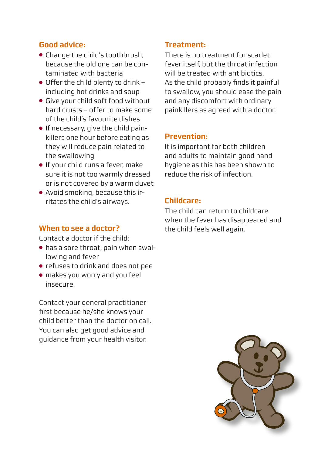# **Good advice:**

- Change the child's toothbrush, because the old one can be contaminated with bacteria
- $\bullet$  Offer the child plenty to drink including hot drinks and soup
- Give your child soft food without hard crusts – offer to make some of the child's favourite dishes
- If necessary, give the child painkillers one hour before eating as they will reduce pain related to the swallowing
- If your child runs a fever, make sure it is not too warmly dressed or is not covered by a warm duvet
- Avoid smoking, because this irritates the child's airways.

#### **When to see a doctor?**

Contact a doctor if the child:

- has a sore throat, pain when swallowing and fever
- refuses to drink and does not pee
- makes you worry and you feel insecure.

Contact your general practitioner first because he/she knows your child better than the doctor on call. You can also get good advice and guidance from your health visitor.

# **Treatment:**

There is no treatment for scarlet fever itself, but the throat infection will be treated with antibiotics. As the child probably finds it painful to swallow, you should ease the pain and any discomfort with ordinary painkillers as agreed with a doctor.

#### **Prevention:**

It is important for both children and adults to maintain good hand hygiene as this has been shown to reduce the risk of infection.

# **Childcare:**

The child can return to childcare when the fever has disappeared and the child feels well again.